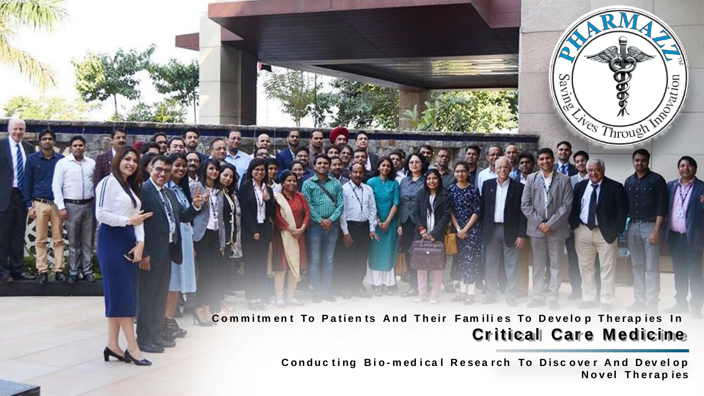Commitment To Patients And Their Families To Develop Therapies In **Criticall Care Medicine** 

> Conducting Bio-medical Research To Discover And Develop **N o v el T h e r a p ies**

Robiation

Sav

Ø

<sup>Ves</sup> Through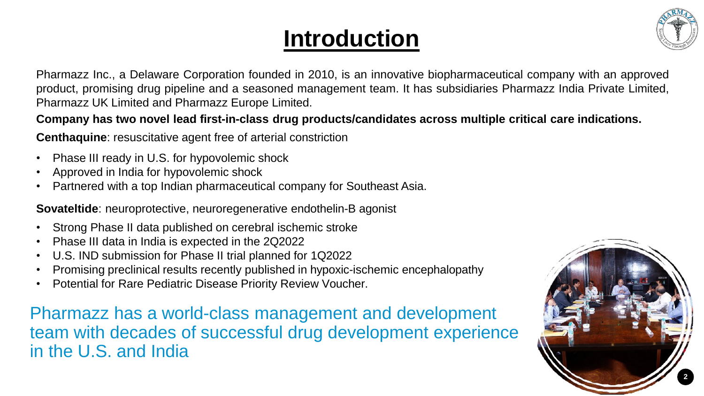# **Introduction**



Pharmazz Inc., a Delaware Corporation founded in 2010, is an innovative biopharmaceutical company with an approved product, promising drug pipeline and a seasoned management team. It has subsidiaries Pharmazz India Private Limited, Pharmazz UK Limited and Pharmazz Europe Limited.

### **Company has two novel lead first-in-class drug products/candidates across multiple critical care indications.**

**Centhaquine**: resuscitative agent free of arterial constriction

- Phase III ready in U.S. for hypovolemic shock
- Approved in India for hypovolemic shock
- Partnered with a top Indian pharmaceutical company for Southeast Asia.

**Sovateltide**: neuroprotective, neuroregenerative endothelin-B agonist

- Strong Phase II data published on cerebral ischemic stroke
- Phase III data in India is expected in the 2Q2022
- U.S. IND submission for Phase II trial planned for 1Q2022
- Promising preclinical results recently published in hypoxic-ischemic encephalopathy
- Potential for Rare Pediatric Disease Priority Review Voucher.

Pharmazz has a world-class management and development team with decades of successful drug development experience in the U.S. and India

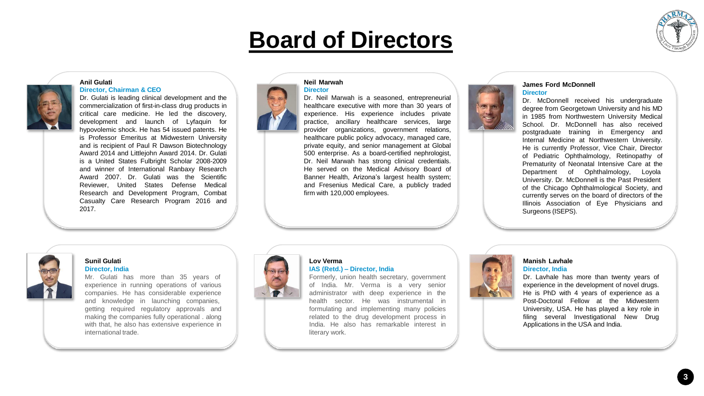# **Board of Directors**



#### **Anil Gulati**



Dr. Gulati is leading clinical development and the commercialization of first-in-class drug products in critical care medicine. He led the discovery, development and launch of Lyfaquin for hypovolemic shock. He has 54 issued patents. He is Professor Emeritus at Midwestern University and is recipient of Paul R Dawson Biotechnology Award 2014 and Littlejohn Award 2014. Dr. Gulati is a United States Fulbright Scholar 2008-2009 and winner of International Ranbaxy Research Award 2007. Dr. Gulati was the Scientific Reviewer, United States Defense Medical Research and Development Program, Combat Casualty Care Research Program 2016 and 2017.



#### **Neil Marwah Director**

Dr. Neil Marwah is a seasoned, entrepreneurial healthcare executive with more than 30 years of experience. His experience includes private practice, ancillary healthcare services, large provider organizations, government relations, healthcare public policy advocacy, managed care, private equity, and senior management at Global 500 enterprise. As a board-certified nephrologist, Dr. Neil Marwah has strong clinical credentials. He served on the Medical Advisory Board of Banner Health, Arizona's largest health system; and Fresenius Medical Care, a publicly traded firm with 120,000 employees.

#### **James Ford McDonnell Director**



Dr. McDonnell received his undergraduate degree from Georgetown University and his MD in 1985 from Northwestern University Medical School. Dr. McDonnell has also received postgraduate training in Emergency and Internal Medicine at Northwestern University. He is currently Professor, Vice Chair, Director of Pediatric Ophthalmology, Retinopathy of Prematurity of Neonatal Intensive Care at the Department of Ophthalmology, Loyola University. Dr. McDonnell is the Past President of the Chicago Ophthalmological Society, and currently serves on the board of directors of the Illinois Association of Eye Physicians and Surgeons (ISEPS).

#### **Sunil Gulati Director, India**

Mr. Gulati has more than 35 years of experience in running operations of various companies. He has considerable experience and knowledge in launching companies, getting required regulatory approvals and making the companies fully operational . along with that, he also has extensive experience in international trade.



#### **Lov Verma IAS (Retd.) – Director, India**

Formerly, union health secretary, government of India. Mr. Verma is a very senior administrator with deep experience in the health sector. He was instrumental in formulating and implementing many policies related to the drug development process in India. He also has remarkable interest in literary work.



#### **Manish Lavhale**

**Director, India**

Dr. Lavhale has more than twenty years of experience in the development of novel drugs. He is PhD with 4 years of experience as a Post-Doctoral Fellow at the Midwestern University, USA. He has played a key role in filing several Investigational New Drug Applications in the USA and India.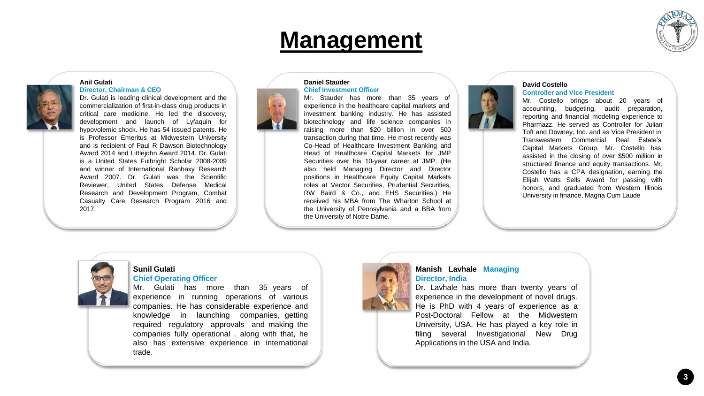## **Management**



#### **Anil Gulati**



#### **Director, Chairman & CEO**

Dr. Gulati is leading clinical development and the commercialization of first-in-class drug products in critical care medicine. He led the discovery, development and launch of Lyfaquin for hypovolemic shock. He has 54 issued patents. He is Professor Emeritus at Midwestern University and is recipient of Paul R Dawson Biotechnology Award 2014 and Littlejohn Award 2014. Dr. Gulati is a United States Fulbright Scholar 2008-2009 and winner of International Ranbaxy Research Award 2007. Dr. Gulati was the Scientific Reviewer, United States Defense Medical Research and Development Program, Combat Casualty Care Research Program 2016 and 2017.



#### **Daniel Stauder Chief Investment Officer**

Mr. Stauder has more than 35 years of experience in the healthcare capital markets and investment banking industry. He has assisted biotechnology and life science companies in raising more than \$20 billion in over 500 transaction during that time. He most recently was Co-Head of Healthcare Investment Banking and Head of Healthcare Capital Markets for JMP Securities over his 10-year career at JMP. (He also held Managing Director and Director positions in Healthcare Equity Capital Markets roles at Vector Securities, Prudential Securities, RW Baird & Co., and EHS Securities.) He received his MBA from The Wharton School at the University of Pennsylvania and a BBA from the University of Notre Dame.

#### **David Costello**

#### **Controller and Vice President**

Mr. Costello brings about 20 years of accounting, budgeting, audit preparation, reporting and financial modeling experience to Pharmazz. He served as Controller for Julian Toft and Downey, Inc. and as Vice President in Transwestern Commercial Real Estate's Capital Markets Group. Mr. Costello has assisted in the closing of over \$500 million in structured finance and equity transactions. Mr. Costello has a CPA designation, earning the Elijah Watts Sells Award for passing with honors, and graduated from Western Illinois University in finance, Magna Cum Laude



#### **Sunil Gulati Chief Operating Officer**

Mr. Gulati has more than 35 years of experience in running operations of various companies. He has considerable experience and knowledge in launching companies, getting required regulatory approvals and making the companies fully operational . along with that, he also has extensive experience in international trade.



#### **Manish Lavhale Managing Director, India**

Dr. Lavhale has more than twenty years of experience in the development of novel drugs. He is PhD with 4 years of experience as a Post-Doctoral Fellow at the Midwestern University, USA. He has played a key role in filing several Investigational New Drug Applications in the USA and India.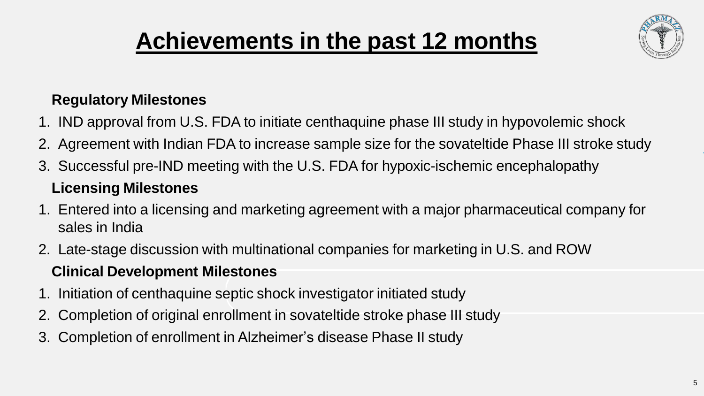# **Achievements in the past 12 months**



## **Regulatory Milestones**

- 1. IND approval from U.S. FDA to initiate centhaquine phase III study in hypovolemic shock
- 2. Agreement with Indian FDA to increase sample size for the sovateltide Phase III stroke study
- 3. Successful pre-IND meeting with the U.S. FDA for hypoxic-ischemic encephalopathy

## **Licensing Milestones**

- 1. Entered into a licensing and marketing agreement with a major pharmaceutical company for sales in India
- 2. Late-stage discussion with multinational companies for marketing in U.S. and ROW

## **Clinical Development Milestones**

- 1. Initiation of centhaquine septic shock investigator initiated study
- 2. Completion of original enrollment in sovateltide stroke phase III study
- 3. Completion of enrollment in Alzheimer's disease Phase II study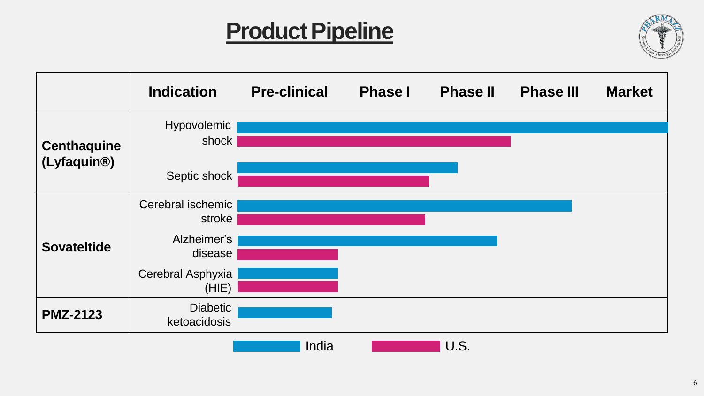# **Product Pipeline**



|                                                | <b>Indication</b>               | <b>Pre-clinical</b> | <b>Phase I</b> | <b>Phase II</b> | <b>Phase III</b> | <b>Market</b> |
|------------------------------------------------|---------------------------------|---------------------|----------------|-----------------|------------------|---------------|
| <b>Centhaquine</b><br>(Lyfaquin <sup>®</sup> ) | Hypovolemic<br>shock            |                     |                |                 |                  |               |
|                                                | Septic shock                    |                     |                |                 |                  |               |
| <b>Sovateltide</b>                             | Cerebral ischemic<br>stroke     |                     |                |                 |                  |               |
|                                                | Alzheimer's<br>disease          |                     |                |                 |                  |               |
|                                                | Cerebral Asphyxia<br>(HIE)      |                     |                |                 |                  |               |
| <b>PMZ-2123</b>                                | <b>Diabetic</b><br>ketoacidosis |                     |                |                 |                  |               |
|                                                |                                 | India               |                | U.S.            |                  |               |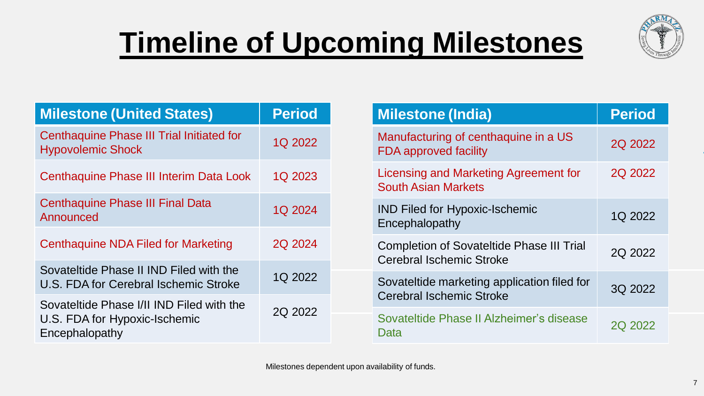# **Timeline of Upcoming Milestones**



| <b>Milestone (United States)</b>                                                             | <b>Period</b> |
|----------------------------------------------------------------------------------------------|---------------|
| Centhaquine Phase III Trial Initiated for<br><b>Hypovolemic Shock</b>                        | 1Q 2022       |
| Centhaquine Phase III Interim Data Look                                                      | 1Q 2023       |
| <b>Centhaquine Phase III Final Data</b><br>Announced                                         | 1Q 2024       |
| <b>Centhaquine NDA Filed for Marketing</b>                                                   | 2Q 2024       |
| Sovateltide Phase II IND Filed with the<br>U.S. FDA for Cerebral Ischemic Stroke             | 1Q 2022       |
| Sovateltide Phase I/II IND Filed with the<br>U.S. FDA for Hypoxic-Ischemic<br>Encephalopathy | 2Q 2022       |

| <b>Milestone (India)</b>                                                     | <b>Period</b> |
|------------------------------------------------------------------------------|---------------|
| Manufacturing of centhaquine in a US<br><b>FDA approved facility</b>         | 2Q 2022       |
| Licensing and Marketing Agreement for<br><b>South Asian Markets</b>          | 2Q 2022       |
| <b>IND Filed for Hypoxic-Ischemic</b><br>Encephalopathy                      | 1Q 2022       |
| <b>Completion of Sovateltide Phase III Trial</b><br>Cerebral Ischemic Stroke | 2Q 2022       |
| Sovateltide marketing application filed for<br>Cerebral Ischemic Stroke      | 3Q 2022       |
| Sovateltide Phase II Alzheimer's disease<br>Data                             | 2Q 2022       |